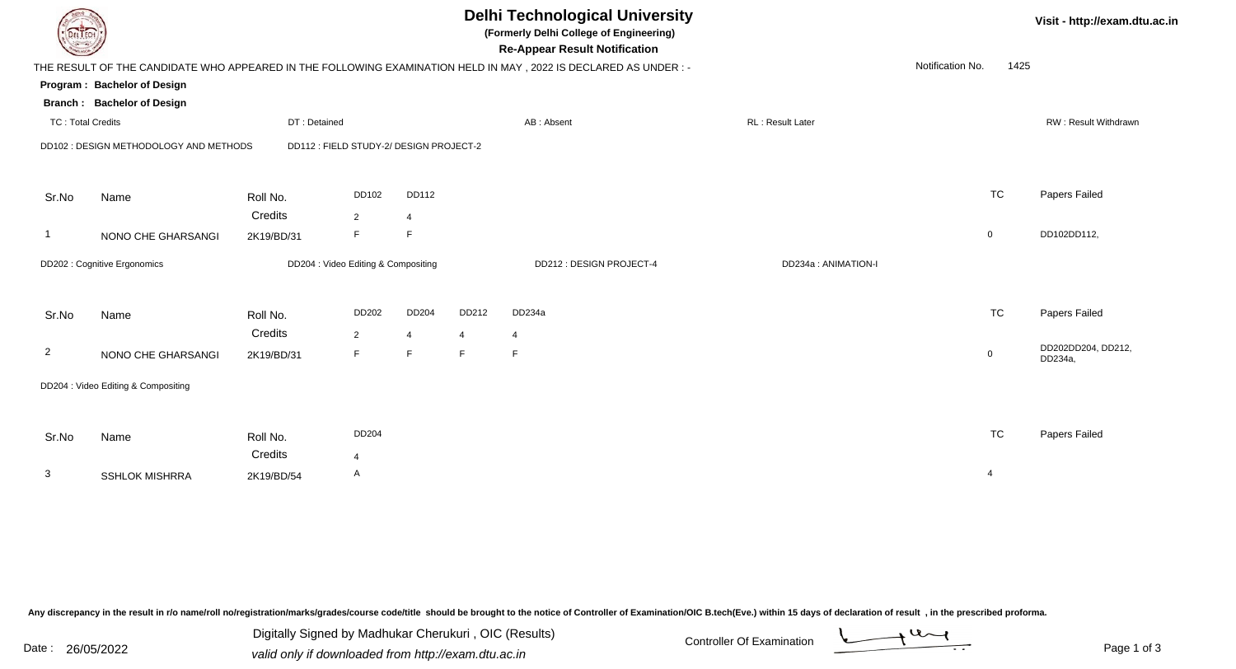| DEL TECH                 |                                        |                                         |                |                |                | <b>Delhi Technological University</b><br>(Formerly Delhi College of Engineering)<br><b>Re-Appear Result Notification</b> |                         |                  |                | Visit - http://exam.dtu.ac.in |
|--------------------------|----------------------------------------|-----------------------------------------|----------------|----------------|----------------|--------------------------------------------------------------------------------------------------------------------------|-------------------------|------------------|----------------|-------------------------------|
|                          |                                        |                                         |                |                |                | THE RESULT OF THE CANDIDATE WHO APPEARED IN THE FOLLOWING EXAMINATION HELD IN MAY, 2022 IS DECLARED AS UNDER:-           |                         | Notification No. | 1425           |                               |
|                          | Program: Bachelor of Design            |                                         |                |                |                |                                                                                                                          |                         |                  |                |                               |
|                          | <b>Branch: Bachelor of Design</b>      |                                         |                |                |                |                                                                                                                          |                         |                  |                |                               |
| <b>TC: Total Credits</b> |                                        | DT: Detained                            |                |                |                | AB: Absent                                                                                                               | <b>RL: Result Later</b> |                  |                | RW: Result Withdrawn          |
|                          | DD102 : DESIGN METHODOLOGY AND METHODS | DD112 : FIELD STUDY-2/ DESIGN PROJECT-2 |                |                |                |                                                                                                                          |                         |                  |                |                               |
|                          |                                        |                                         |                |                |                |                                                                                                                          |                         |                  |                |                               |
| Sr.No                    | Name                                   | Roll No.                                | DD102          | DD112          |                |                                                                                                                          |                         |                  | <b>TC</b>      | Papers Failed                 |
|                          |                                        | Credits                                 | $\overline{2}$ | $\overline{4}$ |                |                                                                                                                          |                         |                  |                |                               |
| -1                       | NONO CHE GHARSANGI                     | 2K19/BD/31                              | F              | F              |                |                                                                                                                          |                         |                  | $\mathbf 0$    | DD102DD112,                   |
|                          | DD202 : Cognitive Ergonomics           | DD204 : Video Editing & Compositing     |                |                |                | DD212: DESIGN PROJECT-4                                                                                                  | DD234a : ANIMATION-I    |                  |                |                               |
|                          |                                        |                                         |                |                |                |                                                                                                                          |                         |                  |                |                               |
| Sr.No                    | Name                                   | Roll No.                                | DD202          | DD204          | DD212          | DD234a                                                                                                                   |                         |                  | <b>TC</b>      | Papers Failed                 |
|                          |                                        | Credits                                 | $\overline{2}$ | $\overline{4}$ | $\overline{4}$ | $\overline{4}$                                                                                                           |                         |                  |                |                               |
| $\overline{2}$           | NONO CHE GHARSANGI                     | 2K19/BD/31                              | F              | F.             | F              | F                                                                                                                        |                         |                  | $\mathbf 0$    | DD202DD204, DD212,<br>DD234a, |
|                          | DD204 : Video Editing & Compositing    |                                         |                |                |                |                                                                                                                          |                         |                  |                |                               |
|                          |                                        |                                         |                |                |                |                                                                                                                          |                         |                  |                |                               |
|                          |                                        |                                         |                |                |                |                                                                                                                          |                         |                  |                |                               |
| Sr.No                    | Name                                   | Roll No.                                | DD204          |                |                |                                                                                                                          |                         |                  | <b>TC</b>      | Papers Failed                 |
|                          |                                        | Credits                                 | $\overline{4}$ |                |                |                                                                                                                          |                         |                  |                |                               |
| 3                        | <b>SSHLOK MISHRRA</b>                  | 2K19/BD/54                              | A              |                |                |                                                                                                                          |                         |                  | $\overline{4}$ |                               |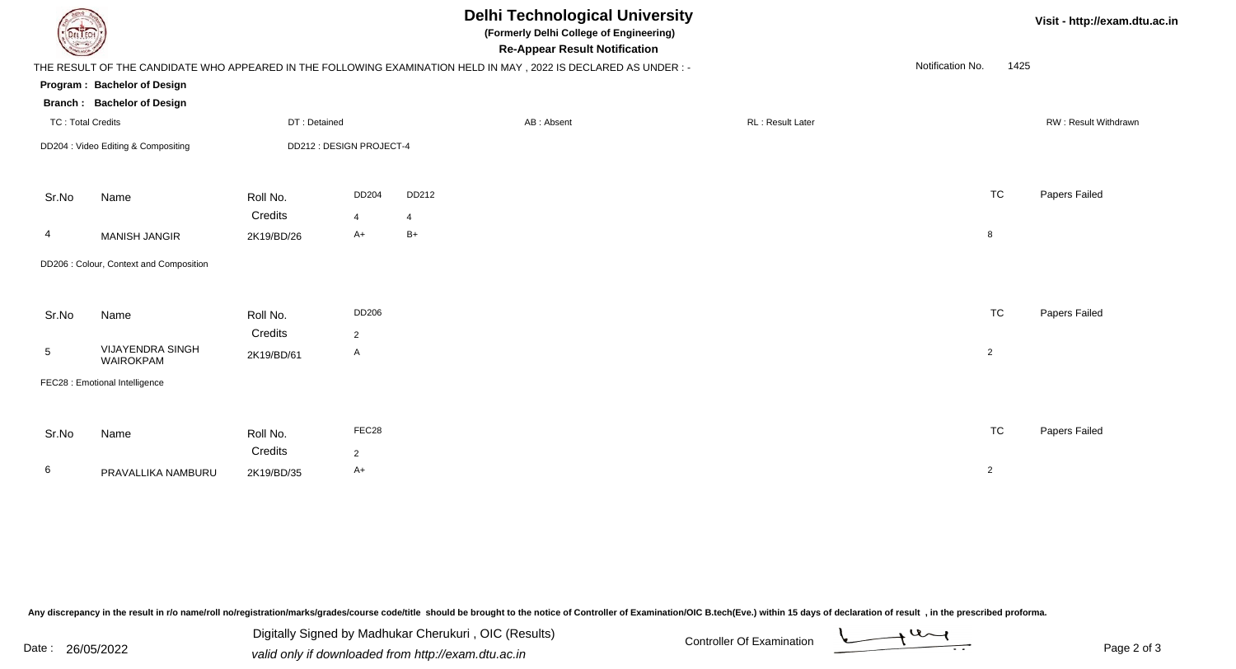|                          |                                                                  |                       |                          | <b>Delhi Technological University</b><br>(Formerly Delhi College of Engineering)<br><b>Re-Appear Result Notification</b> |                  | Visit - http://exam.dtu.ac.in |                      |
|--------------------------|------------------------------------------------------------------|-----------------------|--------------------------|--------------------------------------------------------------------------------------------------------------------------|------------------|-------------------------------|----------------------|
|                          |                                                                  |                       |                          | THE RESULT OF THE CANDIDATE WHO APPEARED IN THE FOLLOWING EXAMINATION HELD IN MAY , 2022 IS DECLARED AS UNDER :-         |                  | Notification No.<br>1425      |                      |
|                          | Program: Bachelor of Design<br><b>Branch: Bachelor of Design</b> |                       |                          |                                                                                                                          |                  |                               |                      |
| <b>TC: Total Credits</b> |                                                                  | DT: Detained          |                          | AB: Absent                                                                                                               | RL: Result Later |                               | RW: Result Withdrawn |
|                          | DD204 : Video Editing & Compositing                              |                       | DD212 : DESIGN PROJECT-4 |                                                                                                                          |                  |                               |                      |
| Sr.No                    | Name                                                             | Roll No.              | DD204                    | DD212                                                                                                                    |                  | <b>TC</b>                     | Papers Failed        |
|                          |                                                                  | Credits               | 4                        | $\overline{4}$                                                                                                           |                  |                               |                      |
| 4                        | <b>MANISH JANGIR</b>                                             | 2K19/BD/26            | A+                       | $B+$                                                                                                                     |                  | 8                             |                      |
|                          | DD206 : Colour, Context and Composition                          |                       |                          |                                                                                                                          |                  |                               |                      |
| Sr.No                    | Name                                                             | Roll No.              | DD206                    |                                                                                                                          |                  | <b>TC</b>                     | Papers Failed        |
| 5                        | <b>VIJAYENDRA SINGH</b><br>WAIROKPAM                             | Credits<br>2K19/BD/61 | $\overline{2}$<br>A      |                                                                                                                          |                  | $\overline{2}$                |                      |
|                          | FEC28 : Emotional Intelligence                                   |                       |                          |                                                                                                                          |                  |                               |                      |
|                          |                                                                  |                       |                          |                                                                                                                          |                  |                               |                      |
| Sr.No                    | Name                                                             | Roll No.              | FEC28                    |                                                                                                                          |                  | <b>TC</b>                     | Papers Failed        |
|                          |                                                                  | Credits               | $\overline{2}$           |                                                                                                                          |                  |                               |                      |
| 6                        | PRAVALLIKA NAMBURU                                               | 2K19/BD/35            | A+                       |                                                                                                                          |                  | $\overline{2}$                |                      |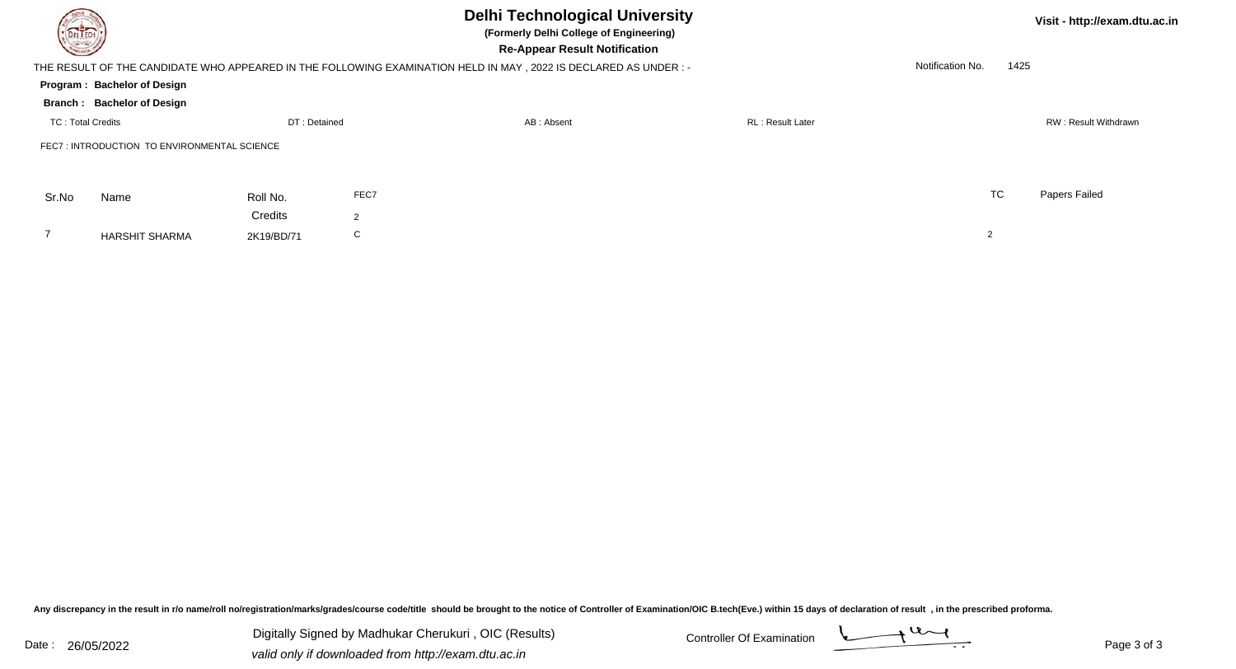| <b>DELTECH</b>           |                                             |              | <b>Delhi Technological University</b><br>(Formerly Delhi College of Engineering) |                                                                                                                                                         |                         | Visit - http://exam.dtu.ac.in |      |                      |
|--------------------------|---------------------------------------------|--------------|----------------------------------------------------------------------------------|---------------------------------------------------------------------------------------------------------------------------------------------------------|-------------------------|-------------------------------|------|----------------------|
|                          |                                             |              |                                                                                  | <b>Re-Appear Result Notification</b><br>THE RESULT OF THE CANDIDATE WHO APPEARED IN THE FOLLOWING EXAMINATION HELD IN MAY, 2022 IS DECLARED AS UNDER :- |                         | Notification No.              | 1425 |                      |
|                          | Program: Bachelor of Design                 |              |                                                                                  |                                                                                                                                                         |                         |                               |      |                      |
|                          | <b>Branch: Bachelor of Design</b>           |              |                                                                                  |                                                                                                                                                         |                         |                               |      |                      |
| <b>TC: Total Credits</b> |                                             | DT: Detained |                                                                                  | AB: Absent                                                                                                                                              | <b>RL: Result Later</b> |                               |      | RW: Result Withdrawn |
|                          | FEC7: INTRODUCTION TO ENVIRONMENTAL SCIENCE |              |                                                                                  |                                                                                                                                                         |                         |                               |      |                      |
| Sr.No                    | Name                                        | Roll No.     | FEC7                                                                             |                                                                                                                                                         |                         | <b>TC</b>                     |      | Papers Failed        |
|                          |                                             | Credits      | 2                                                                                |                                                                                                                                                         |                         |                               |      |                      |
|                          | <b>HARSHIT SHARMA</b>                       | 2K19/BD/71   | C                                                                                |                                                                                                                                                         |                         | 2                             |      |                      |

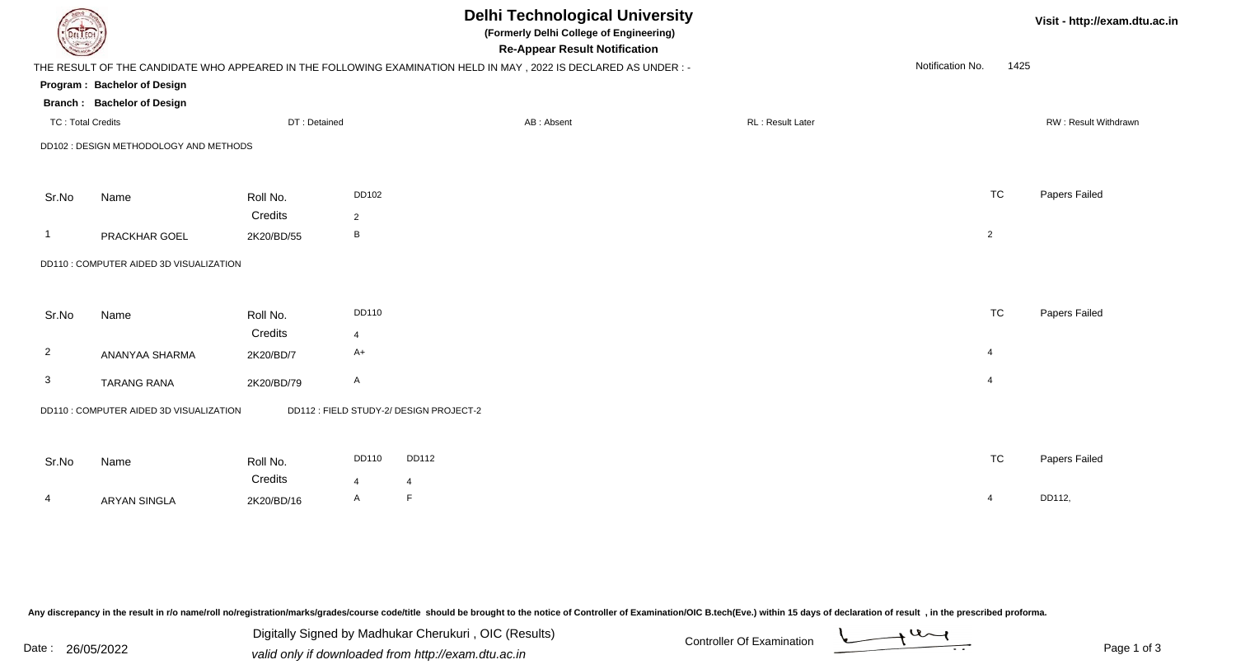|                          |                                         |              |                | <b>Delhi Technological University</b><br>(Formerly Delhi College of Engineering)<br><b>Re-Appear Result Notification</b> |                  |                          | Visit - http://exam.dtu.ac.in |
|--------------------------|-----------------------------------------|--------------|----------------|--------------------------------------------------------------------------------------------------------------------------|------------------|--------------------------|-------------------------------|
|                          |                                         |              |                | THE RESULT OF THE CANDIDATE WHO APPEARED IN THE FOLLOWING EXAMINATION HELD IN MAY, 2022 IS DECLARED AS UNDER:-           |                  | Notification No.<br>1425 |                               |
|                          | Program: Bachelor of Design             |              |                |                                                                                                                          |                  |                          |                               |
|                          | <b>Branch: Bachelor of Design</b>       |              |                |                                                                                                                          |                  |                          |                               |
| <b>TC: Total Credits</b> |                                         | DT: Detained |                | AB: Absent                                                                                                               | RL: Result Later |                          | RW: Result Withdrawn          |
|                          | DD102 : DESIGN METHODOLOGY AND METHODS  |              |                |                                                                                                                          |                  |                          |                               |
| Sr.No                    | Name                                    | Roll No.     | DD102          |                                                                                                                          |                  | <b>TC</b>                | Papers Failed                 |
|                          |                                         | Credits      | $\overline{2}$ |                                                                                                                          |                  |                          |                               |
| -1                       | PRACKHAR GOEL                           | 2K20/BD/55   | В              |                                                                                                                          |                  | $\overline{2}$           |                               |
|                          | DD110 : COMPUTER AIDED 3D VISUALIZATION |              |                |                                                                                                                          |                  |                          |                               |
| Sr.No                    | Name                                    | Roll No.     | DD110          |                                                                                                                          |                  | <b>TC</b>                | Papers Failed                 |
|                          |                                         | Credits      | 4              |                                                                                                                          |                  |                          |                               |
| $\overline{2}$           | ANANYAA SHARMA                          | 2K20/BD/7    | A+             |                                                                                                                          |                  | $\overline{4}$           |                               |
| 3                        | <b>TARANG RANA</b>                      | 2K20/BD/79   | A              |                                                                                                                          |                  | $\overline{4}$           |                               |
|                          | DD110 : COMPUTER AIDED 3D VISUALIZATION |              |                | DD112 : FIELD STUDY-2/ DESIGN PROJECT-2                                                                                  |                  |                          |                               |
| Sr.No                    | Name                                    | Roll No.     | DD110          | DD112                                                                                                                    |                  | <b>TC</b>                | Papers Failed                 |
|                          |                                         | Credits      | 4              | $\overline{4}$                                                                                                           |                  |                          |                               |
| 4                        | <b>ARYAN SINGLA</b>                     | 2K20/BD/16   | A              | F                                                                                                                        |                  | $\overline{4}$           | DD112,                        |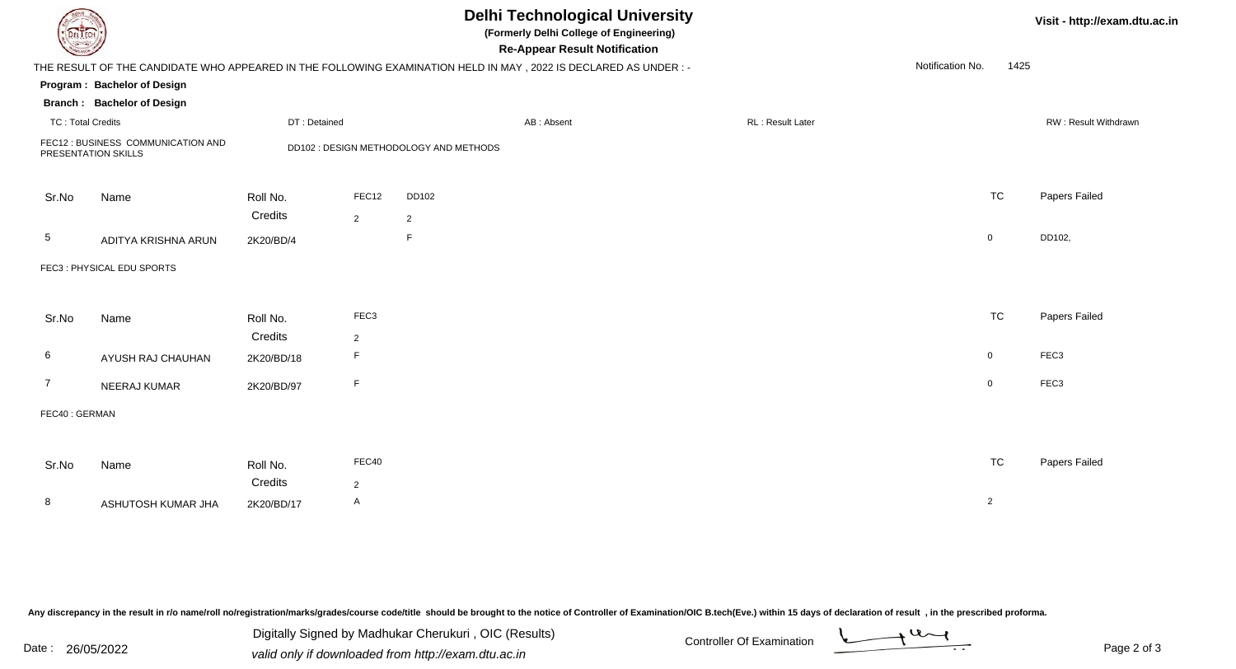| DEL I ECH                |                                    |              |                  |                                        | <b>Delhi Technological University</b><br>(Formerly Delhi College of Engineering)<br><b>Re-Appear Result Notification</b> |                  |                  |                | Visit - http://exam.dtu.ac.in |
|--------------------------|------------------------------------|--------------|------------------|----------------------------------------|--------------------------------------------------------------------------------------------------------------------------|------------------|------------------|----------------|-------------------------------|
|                          |                                    |              |                  |                                        | THE RESULT OF THE CANDIDATE WHO APPEARED IN THE FOLLOWING EXAMINATION HELD IN MAY, 2022 IS DECLARED AS UNDER:-           |                  | Notification No. | 1425           |                               |
|                          | Program: Bachelor of Design        |              |                  |                                        |                                                                                                                          |                  |                  |                |                               |
|                          | <b>Branch: Bachelor of Design</b>  |              |                  |                                        |                                                                                                                          |                  |                  |                |                               |
| <b>TC: Total Credits</b> |                                    | DT: Detained |                  |                                        | AB: Absent                                                                                                               | RL: Result Later |                  |                | RW: Result Withdrawn          |
| PRESENTATION SKILLS      | FEC12 : BUSINESS COMMUNICATION AND |              |                  | DD102 : DESIGN METHODOLOGY AND METHODS |                                                                                                                          |                  |                  |                |                               |
| Sr.No                    | Name                               | Roll No.     | FEC12            | DD102                                  |                                                                                                                          |                  |                  | <b>TC</b>      | Papers Failed                 |
|                          |                                    | Credits      | $\overline{2}$   | $\overline{2}$                         |                                                                                                                          |                  |                  |                |                               |
| 5                        | ADITYA KRISHNA ARUN                | 2K20/BD/4    |                  | F.                                     |                                                                                                                          |                  |                  | $\overline{0}$ | DD102,                        |
|                          | FEC3: PHYSICAL EDU SPORTS          |              |                  |                                        |                                                                                                                          |                  |                  |                |                               |
| Sr.No                    | Name                               | Roll No.     | FEC <sub>3</sub> |                                        |                                                                                                                          |                  |                  | <b>TC</b>      | Papers Failed                 |
|                          |                                    | Credits      | $\overline{2}$   |                                        |                                                                                                                          |                  |                  |                |                               |
| 6                        | AYUSH RAJ CHAUHAN                  | 2K20/BD/18   | F                |                                        |                                                                                                                          |                  |                  | $\overline{0}$ | FEC <sub>3</sub>              |
| 7                        | NEERAJ KUMAR                       | 2K20/BD/97   | F.               |                                        |                                                                                                                          |                  |                  | $\overline{0}$ | FEC <sub>3</sub>              |
| FEC40: GERMAN            |                                    |              |                  |                                        |                                                                                                                          |                  |                  |                |                               |
|                          |                                    |              |                  |                                        |                                                                                                                          |                  |                  |                |                               |
| Sr.No                    | Name                               | Roll No.     | FEC40            |                                        |                                                                                                                          |                  |                  | <b>TC</b>      | Papers Failed                 |
|                          |                                    | Credits      | $\overline{2}$   |                                        |                                                                                                                          |                  |                  |                |                               |
| 8                        | ASHUTOSH KUMAR JHA                 | 2K20/BD/17   | A                |                                        |                                                                                                                          |                  |                  | $\overline{2}$ |                               |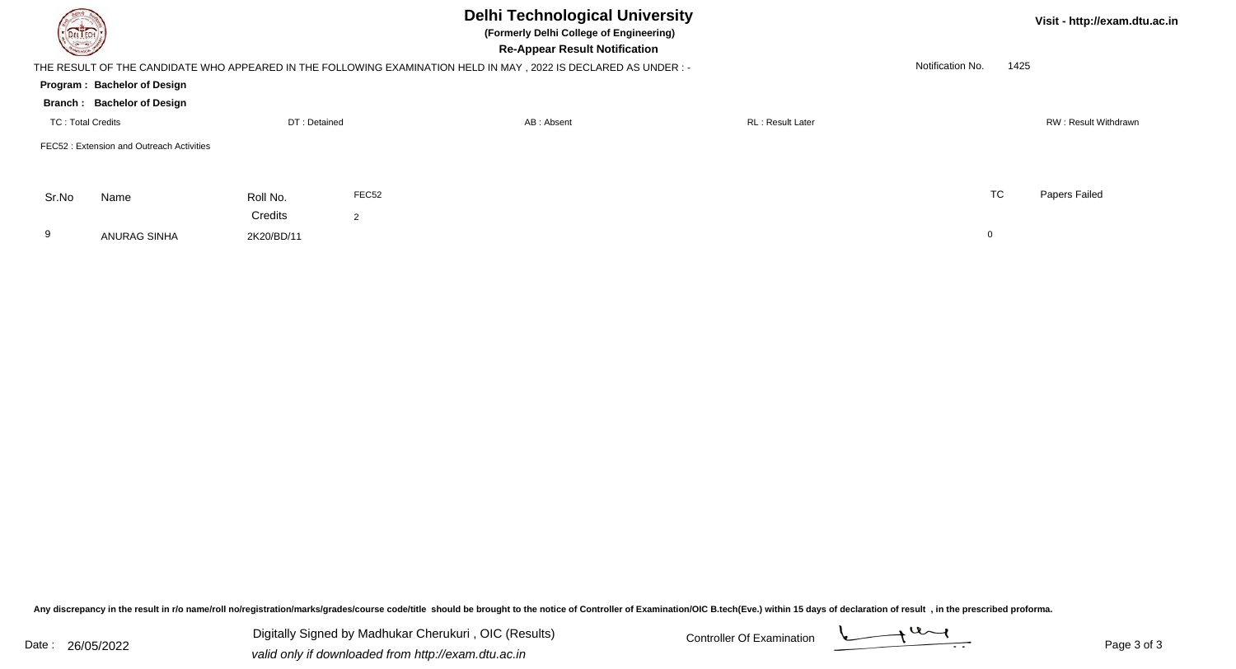| <b>DELTECH</b>           |                                                                                                                 |                  |       |            |                         | Visit - http://exam.dtu.ac.in |  |                      |
|--------------------------|-----------------------------------------------------------------------------------------------------------------|------------------|-------|------------|-------------------------|-------------------------------|--|----------------------|
|                          | THE RESULT OF THE CANDIDATE WHO APPEARED IN THE FOLLOWING EXAMINATION HELD IN MAY, 2022 IS DECLARED AS UNDER :- | Notification No. | 1425  |            |                         |                               |  |                      |
|                          | Program: Bachelor of Design                                                                                     |                  |       |            |                         |                               |  |                      |
|                          | Branch: Bachelor of Design                                                                                      |                  |       |            |                         |                               |  |                      |
| <b>TC: Total Credits</b> |                                                                                                                 | DT: Detained     |       | AB: Absent | <b>RL: Result Later</b> |                               |  | RW: Result Withdrawn |
|                          | FEC52: Extension and Outreach Activities                                                                        |                  |       |            |                         |                               |  |                      |
| Sr.No                    | Name                                                                                                            | Roll No.         | FEC52 |            |                         | TC                            |  | Papers Failed        |
|                          |                                                                                                                 | Credits          | 2     |            |                         |                               |  |                      |
| 9                        | ANURAG SINHA                                                                                                    | 2K20/BD/11       |       |            |                         | 0                             |  |                      |

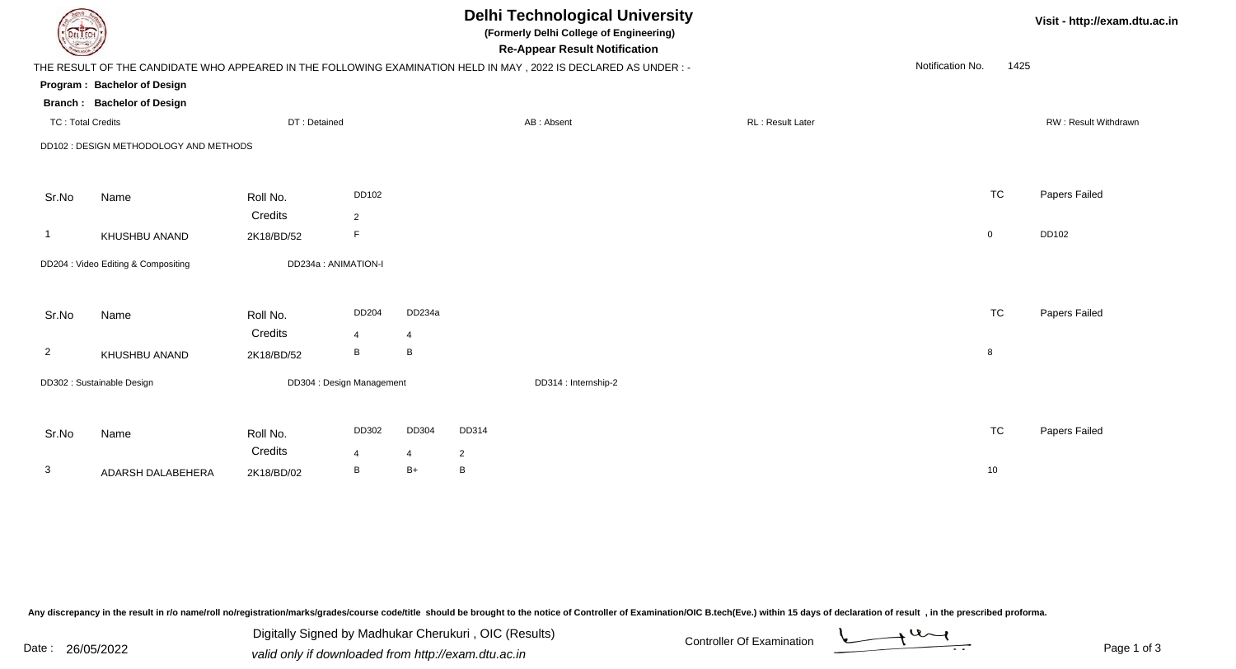| EL ECH                   |                                        |              |                           |        |                | <b>Delhi Technological University</b><br>(Formerly Delhi College of Engineering)<br><b>Re-Appear Result Notification</b> |                  |                  |             | Visit - http://exam.dt |
|--------------------------|----------------------------------------|--------------|---------------------------|--------|----------------|--------------------------------------------------------------------------------------------------------------------------|------------------|------------------|-------------|------------------------|
|                          |                                        |              |                           |        |                | THE RESULT OF THE CANDIDATE WHO APPEARED IN THE FOLLOWING EXAMINATION HELD IN MAY, 2022 IS DECLARED AS UNDER :-          |                  | Notification No. | 1425        |                        |
|                          | Program: Bachelor of Design            |              |                           |        |                |                                                                                                                          |                  |                  |             |                        |
|                          | <b>Branch: Bachelor of Design</b>      |              |                           |        |                |                                                                                                                          |                  |                  |             |                        |
| <b>TC: Total Credits</b> |                                        | DT: Detained |                           |        |                | AB: Absent                                                                                                               | RL: Result Later |                  |             | RW: Result Withdrawn   |
|                          | DD102 : DESIGN METHODOLOGY AND METHODS |              |                           |        |                |                                                                                                                          |                  |                  |             |                        |
| Sr.No                    | Name                                   | Roll No.     | DD102                     |        |                |                                                                                                                          |                  |                  | <b>TC</b>   | Papers Failed          |
|                          |                                        | Credits      | $\overline{2}$            |        |                |                                                                                                                          |                  |                  |             |                        |
| -1                       | KHUSHBU ANAND                          | 2K18/BD/52   | F                         |        |                |                                                                                                                          |                  |                  | $\mathbf 0$ | DD102                  |
|                          | DD204 : Video Editing & Compositing    |              | DD234a : ANIMATION-I      |        |                |                                                                                                                          |                  |                  |             |                        |
| Sr.No                    | Name                                   | Roll No.     | DD204                     | DD234a |                |                                                                                                                          |                  |                  | <b>TC</b>   | Papers Failed          |
|                          |                                        | Credits      | $\overline{4}$            | 4      |                |                                                                                                                          |                  |                  |             |                        |
| $\overline{2}$           | KHUSHBU ANAND                          | 2K18/BD/52   | B                         | B      |                |                                                                                                                          |                  |                  | 8           |                        |
|                          | DD302 : Sustainable Design             |              | DD304 : Design Management |        |                | DD314 : Internship-2                                                                                                     |                  |                  |             |                        |
|                          |                                        |              |                           |        |                |                                                                                                                          |                  |                  |             |                        |
| Sr.No                    | Name                                   | Roll No.     | DD302                     | DD304  | DD314          |                                                                                                                          |                  |                  | <b>TC</b>   | Papers Failed          |
|                          |                                        | Credits      | $\overline{4}$            | 4      | $\overline{2}$ |                                                                                                                          |                  |                  |             |                        |
| 3                        | ADARSH DALABEHERA                      | 2K18/BD/02   | B                         | B+     | B              |                                                                                                                          |                  |                  | 10          |                        |

Digitally Signed by Madhukar Cherukuri, OIC (Results)<br>Date : 26/05/2022 valid only if downloaded from http://oxam.dtu.ac.in Digitally Signed by Madhukar Cherukuri , OIC (Results)valid only if downloaded from http://exam.dtu.ac.in

tu.ac.in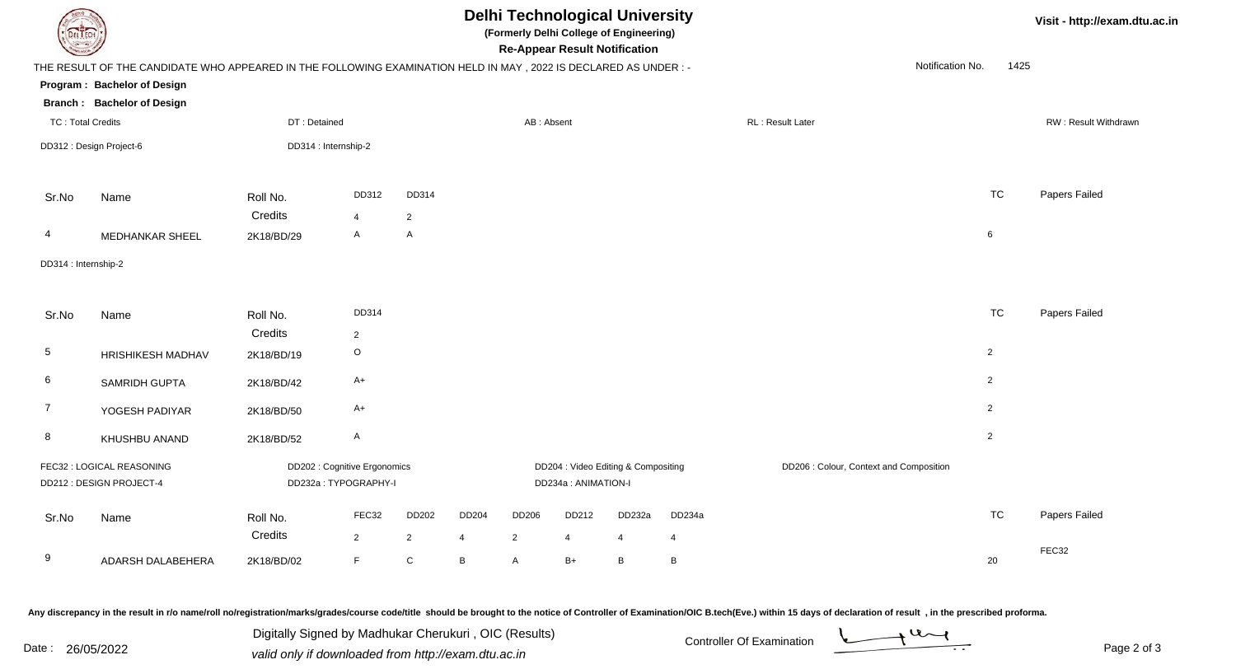| DEL ECH                  |                                                                                                                |                     |                                                      |                |       |                |                      | <b>Delhi Technological University</b><br>(Formerly Delhi College of Engineering)<br><b>Re-Appear Result Notification</b> |                |                                         |                  |                | Visit - http://exam.dtu.ac.in |
|--------------------------|----------------------------------------------------------------------------------------------------------------|---------------------|------------------------------------------------------|----------------|-------|----------------|----------------------|--------------------------------------------------------------------------------------------------------------------------|----------------|-----------------------------------------|------------------|----------------|-------------------------------|
|                          | THE RESULT OF THE CANDIDATE WHO APPEARED IN THE FOLLOWING EXAMINATION HELD IN MAY, 2022 IS DECLARED AS UNDER:- |                     |                                                      |                |       |                |                      |                                                                                                                          |                |                                         | Notification No. | 1425           |                               |
|                          | Program: Bachelor of Design                                                                                    |                     |                                                      |                |       |                |                      |                                                                                                                          |                |                                         |                  |                |                               |
|                          | <b>Branch: Bachelor of Design</b>                                                                              |                     |                                                      |                |       |                |                      |                                                                                                                          |                |                                         |                  |                |                               |
| <b>TC: Total Credits</b> |                                                                                                                | DT: Detained        |                                                      |                |       | AB: Absent     |                      |                                                                                                                          |                | RL: Result Later                        |                  |                | RW: Result Withdrawn          |
|                          | DD312 : Design Project-6                                                                                       |                     | DD314 : Internship-2                                 |                |       |                |                      |                                                                                                                          |                |                                         |                  |                |                               |
| Sr.No                    | Name                                                                                                           | Roll No.            | DD312                                                | DD314          |       |                |                      |                                                                                                                          |                |                                         |                  | <b>TC</b>      | Papers Failed                 |
|                          |                                                                                                                | Credits             | $\overline{4}$                                       | $\overline{2}$ |       |                |                      |                                                                                                                          |                |                                         |                  |                |                               |
| 4                        | <b>MEDHANKAR SHEEL</b>                                                                                         | 2K18/BD/29          | $\mathsf{A}$                                         | $\mathsf{A}$   |       |                |                      |                                                                                                                          |                |                                         |                  | 6              |                               |
| DD314 : Internship-2     |                                                                                                                |                     |                                                      |                |       |                |                      |                                                                                                                          |                |                                         |                  |                |                               |
| Sr.No                    | Name                                                                                                           | Roll No.            | DD314                                                |                |       |                |                      |                                                                                                                          |                |                                         |                  | <b>TC</b>      | Papers Failed                 |
|                          |                                                                                                                | Credits             | $\overline{2}$                                       |                |       |                |                      |                                                                                                                          |                |                                         |                  |                |                               |
| $5\phantom{.0}$          | <b>HRISHIKESH MADHAV</b>                                                                                       | 2K18/BD/19          | $\circ$                                              |                |       |                |                      |                                                                                                                          |                |                                         |                  | $\overline{2}$ |                               |
| 6                        | SAMRIDH GUPTA                                                                                                  | 2K18/BD/42          | $A+$                                                 |                |       |                |                      |                                                                                                                          |                |                                         |                  | $\overline{2}$ |                               |
| $\overline{7}$           | YOGESH PADIYAR                                                                                                 | 2K18/BD/50          | $A+$                                                 |                |       |                |                      |                                                                                                                          |                |                                         |                  | $\overline{2}$ |                               |
| 8                        | KHUSHBU ANAND                                                                                                  | 2K18/BD/52          | $\mathsf{A}$                                         |                |       |                |                      |                                                                                                                          |                |                                         |                  | $\overline{2}$ |                               |
|                          | FEC32 : LOGICAL REASONING<br>DD212: DESIGN PROJECT-4                                                           |                     | DD202 : Cognitive Ergonomics<br>DD232a: TYPOGRAPHY-I |                |       |                | DD234a : ANIMATION-I | DD204 : Video Editing & Compositing                                                                                      |                | DD206 : Colour, Context and Composition |                  |                |                               |
| Sr.No                    | Name                                                                                                           | Roll No.<br>Credits | FEC32                                                | DD202          | DD204 | DD206          | DD212                | DD232a                                                                                                                   | DD234a         |                                         |                  | <b>TC</b>      | Papers Failed                 |
|                          |                                                                                                                |                     | $\overline{2}$                                       | $\overline{2}$ | 4     | $\overline{2}$ | $\overline{4}$       | 4                                                                                                                        | $\overline{4}$ |                                         |                  |                | FEC32                         |
| 9                        | ADARSH DALABEHERA                                                                                              | 2K18/BD/02          | $\mathsf F$                                          | ${\bf C}$      | В     | A              | $B+$                 | B                                                                                                                        | B              |                                         |                  | 20             |                               |